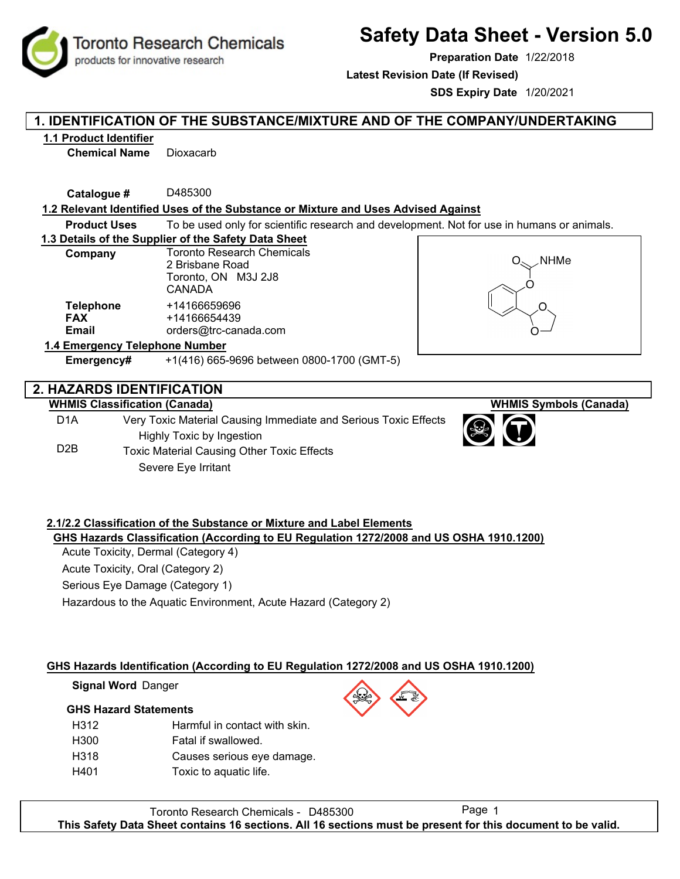**Toronto Research Chemicals** products for innovative research

# **Safety Data Sheet - Version 5.0**

**Preparation Date** 1/22/2018

**Latest Revision Date (If Revised)**

**SDS Expiry Date** 1/20/2021

### **1. IDENTIFICATION OF THE SUBSTANCE/MIXTURE AND OF THE COMPANY/UNDERTAKING**

#### **1.1 Product Identifier**

**Chemical Name** Dioxacarb

**Catalogue #** D485300

#### **1.2 Relevant Identified Uses of the Substance or Mixture and Uses Advised Against**

**Product Uses** To be used only for scientific research and development. Not for use in humans or animals.

#### **1.3 Details of the Supplier of the Safety Data Sheet**

| Company                        | <b>Toronto Research Chemicals</b> |  |  |  |
|--------------------------------|-----------------------------------|--|--|--|
|                                | 2 Brisbane Road                   |  |  |  |
|                                | Toronto, ON M3J 2J8               |  |  |  |
|                                | CANADA                            |  |  |  |
| <b>Telephone</b>               | +14166659696                      |  |  |  |
| <b>FAX</b>                     | +14166654439                      |  |  |  |
| <b>Email</b>                   | orders@trc-canada.com             |  |  |  |
| 1.4 Emergency Telephone Number |                                   |  |  |  |



**WHMIS Symbols (Canada)**

# **2. HAZARDS IDENTIFICATION**

### **WHMIS Classification (Canada)**

D1A D2B Very Toxic Material Causing Immediate and Serious Toxic Effects Highly Toxic by Ingestion Toxic Material Causing Other Toxic Effects Severe Eye Irritant

**Emergency#** +1(416) 665-9696 between 0800-1700 (GMT-5)

### **2.1/2.2 Classification of the Substance or Mixture and Label Elements GHS Hazards Classification (According to EU Regulation 1272/2008 and US OSHA 1910.1200)**

Acute Toxicity, Dermal (Category 4) Acute Toxicity, Oral (Category 2)

Serious Eye Damage (Category 1)

Hazardous to the Aquatic Environment, Acute Hazard (Category 2)

### **GHS Hazards Identification (According to EU Regulation 1272/2008 and US OSHA 1910.1200)**

#### **Signal Word** Danger

#### **GHS Hazard Statements**

| H312             | Harmful in contact with skin. |
|------------------|-------------------------------|
| H <sub>300</sub> | Fatal if swallowed.           |
| H <sub>318</sub> | Causes serious eye damage.    |
| H401             | Toxic to aquatic life.        |
|                  |                               |

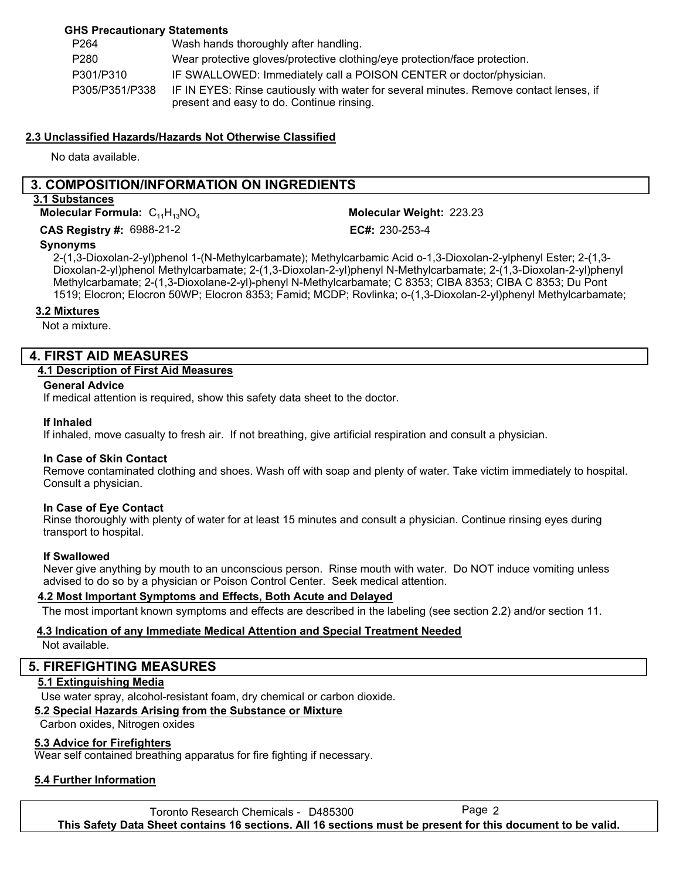#### **GHS Precautionary Statements**

| P <sub>264</sub> | Wash hands thoroughly after handling.                                                                                               |
|------------------|-------------------------------------------------------------------------------------------------------------------------------------|
| P <sub>280</sub> | Wear protective gloves/protective clothing/eye protection/face protection.                                                          |
| P301/P310        | IF SWALLOWED: Immediately call a POISON CENTER or doctor/physician.                                                                 |
| P305/P351/P338   | IF IN EYES: Rinse cautiously with water for several minutes. Remove contact lenses, if<br>present and easy to do. Continue rinsing. |

#### **2.3 Unclassified Hazards/Hazards Not Otherwise Classified**

No data available.

### **3. COMPOSITION/INFORMATION ON INGREDIENTS**

#### **3.1 Substances**

**Molecular Formula:**  $C_{11}H_{13}NO_4$ 

**CAS Registry #: 6988-21-2** 

Molecular Weight: 223.23

 $EC#: 230-253-4$ 

#### **Synonyms**

2-(1,3-Dioxolan-2-yl)phenol 1-(N-Methylcarbamate); Methylcarbamic Acid o-1,3-Dioxolan-2-ylphenyl Ester; 2-(1,3- Dioxolan-2-yl)phenol Methylcarbamate; 2-(1,3-Dioxolan-2-yl)phenyl N-Methylcarbamate; 2-(1,3-Dioxolan-2-yl)phenyl Methylcarbamate; 2-(1,3-Dioxolane-2-yl)-phenyl N-Methylcarbamate; C 8353; CIBA 8353; CIBA C 8353; Du Pont 1519; Elocron; Elocron 50WP; Elocron 8353; Famid; MCDP; Rovlinka; o-(1,3-Dioxolan-2-yl)phenyl Methylcarbamate;

#### **3.2 Mixtures**

Not a mixture.

### **4. FIRST AID MEASURES**

#### **4.1 Description of First Aid Measures**

#### **General Advice**

If medical attention is required, show this safety data sheet to the doctor.

#### **If Inhaled**

If inhaled, move casualty to fresh air. If not breathing, give artificial respiration and consult a physician.

#### **In Case of Skin Contact**

Remove contaminated clothing and shoes. Wash off with soap and plenty of water. Take victim immediately to hospital. Consult a physician.

#### **In Case of Eye Contact**

Rinse thoroughly with plenty of water for at least 15 minutes and consult a physician. Continue rinsing eyes during transport to hospital.

#### **If Swallowed**

Never give anything by mouth to an unconscious person. Rinse mouth with water. Do NOT induce vomiting unless advised to do so by a physician or Poison Control Center. Seek medical attention.

#### **4.2 Most Important Symptoms and Effects, Both Acute and Delayed**

The most important known symptoms and effects are described in the labeling (see section 2.2) and/or section 11.

#### **4.3 Indication of any Immediate Medical Attention and Special Treatment Needed**

Not available.

### **5. FIREFIGHTING MEASURES**

#### **5.1 Extinguishing Media**

Use water spray, alcohol-resistant foam, dry chemical or carbon dioxide.

#### **5.2 Special Hazards Arising from the Substance or Mixture**

Carbon oxides, Nitrogen oxides

#### **5.3 Advice for Firefighters**

Wear self contained breathing apparatus for fire fighting if necessary.

#### **5.4 Further Information**

Toronto Research Chemicals - D485300 Page 2 **This Safety Data Sheet contains 16 sections. All 16 sections must be present for this document to be valid.**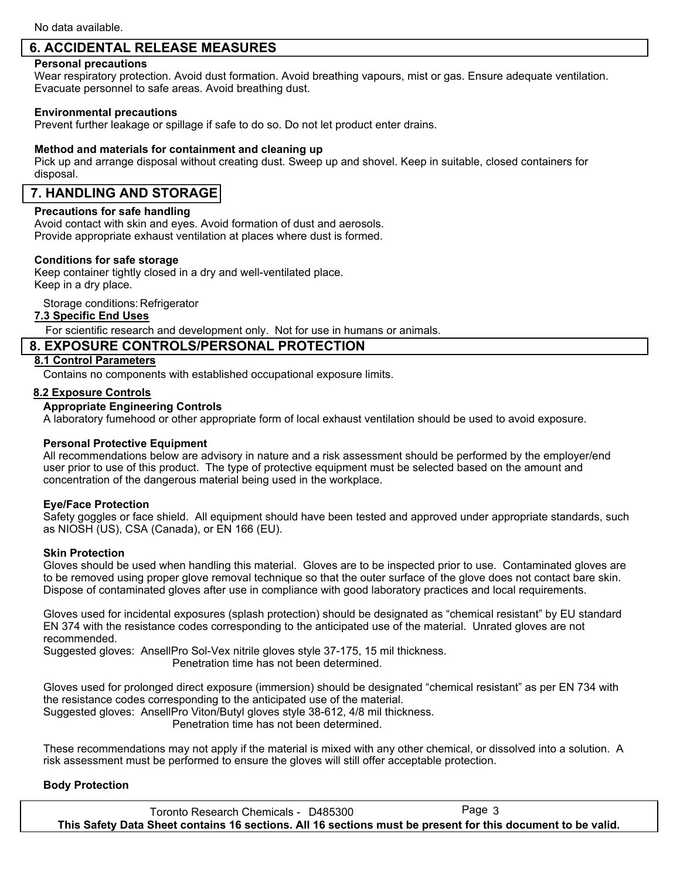### **6. ACCIDENTAL RELEASE MEASURES**

#### **Personal precautions**

Wear respiratory protection. Avoid dust formation. Avoid breathing vapours, mist or gas. Ensure adequate ventilation. Evacuate personnel to safe areas. Avoid breathing dust.

#### **Environmental precautions**

Prevent further leakage or spillage if safe to do so. Do not let product enter drains.

#### **Method and materials for containment and cleaning up**

Pick up and arrange disposal without creating dust. Sweep up and shovel. Keep in suitable, closed containers for disposal.

### **7. HANDLING AND STORAGE**

#### **Precautions for safe handling**

Avoid contact with skin and eyes. Avoid formation of dust and aerosols. Provide appropriate exhaust ventilation at places where dust is formed.

#### **Conditions for safe storage**

Keep container tightly closed in a dry and well-ventilated place. Keep in a dry place.

Storage conditions: Refrigerator

#### **7.3 Specific End Uses**

For scientific research and development only. Not for use in humans or animals.

### **8. EXPOSURE CONTROLS/PERSONAL PROTECTION**

#### **8.1 Control Parameters**

Contains no components with established occupational exposure limits.

#### **8.2 Exposure Controls**

#### **Appropriate Engineering Controls**

A laboratory fumehood or other appropriate form of local exhaust ventilation should be used to avoid exposure.

#### **Personal Protective Equipment**

All recommendations below are advisory in nature and a risk assessment should be performed by the employer/end user prior to use of this product. The type of protective equipment must be selected based on the amount and concentration of the dangerous material being used in the workplace.

#### **Eye/Face Protection**

Safety goggles or face shield. All equipment should have been tested and approved under appropriate standards, such as NIOSH (US), CSA (Canada), or EN 166 (EU).

#### **Skin Protection**

Gloves should be used when handling this material. Gloves are to be inspected prior to use. Contaminated gloves are to be removed using proper glove removal technique so that the outer surface of the glove does not contact bare skin. Dispose of contaminated gloves after use in compliance with good laboratory practices and local requirements.

Gloves used for incidental exposures (splash protection) should be designated as "chemical resistant" by EU standard EN 374 with the resistance codes corresponding to the anticipated use of the material. Unrated gloves are not recommended.

Suggested gloves: AnsellPro Sol-Vex nitrile gloves style 37-175, 15 mil thickness. Penetration time has not been determined.

Gloves used for prolonged direct exposure (immersion) should be designated "chemical resistant" as per EN 734 with the resistance codes corresponding to the anticipated use of the material. Suggested gloves: AnsellPro Viton/Butyl gloves style 38-612, 4/8 mil thickness.

Penetration time has not been determined.

These recommendations may not apply if the material is mixed with any other chemical, or dissolved into a solution. A risk assessment must be performed to ensure the gloves will still offer acceptable protection.

#### **Body Protection**

Toronto Research Chemicals - D485300 Page 3 **This Safety Data Sheet contains 16 sections. All 16 sections must be present for this document to be valid.**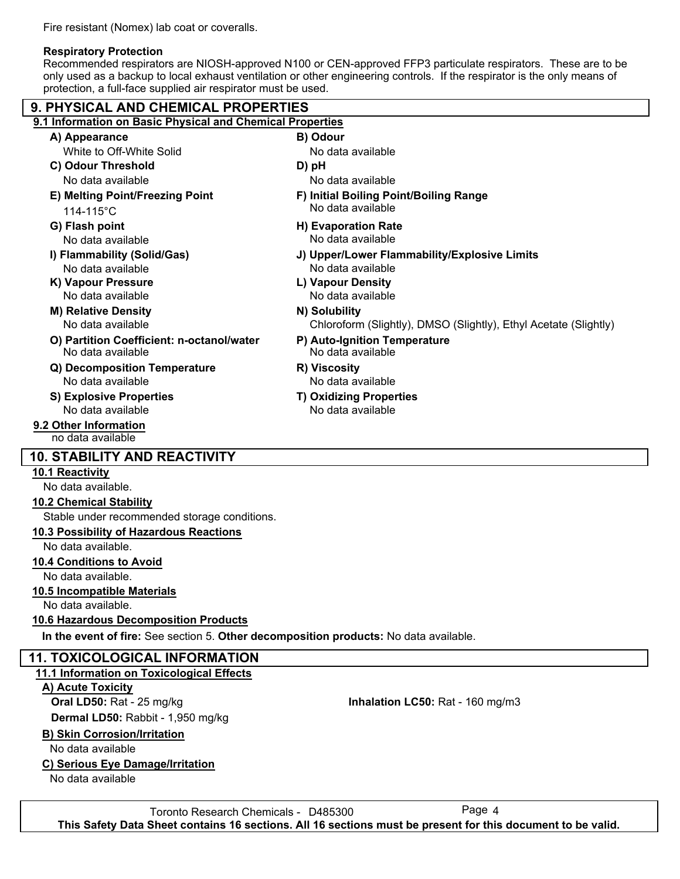Fire resistant (Nomex) lab coat or coveralls.

#### **Respiratory Protection**

Recommended respirators are NIOSH-approved N100 or CEN-approved FFP3 particulate respirators. These are to be only used as a backup to local exhaust ventilation or other engineering controls. If the respirator is the only means of protection, a full-face supplied air respirator must be used.

| 9. PHYSICAL AND CHEMICAL PROPERTIES                                                   |                                                                  |  |  |  |  |
|---------------------------------------------------------------------------------------|------------------------------------------------------------------|--|--|--|--|
| 9.1 Information on Basic Physical and Chemical Properties                             |                                                                  |  |  |  |  |
| A) Appearance                                                                         | B) Odour                                                         |  |  |  |  |
| White to Off-White Solid                                                              | No data available                                                |  |  |  |  |
| C) Odour Threshold                                                                    | D) pH                                                            |  |  |  |  |
| No data available                                                                     | No data available                                                |  |  |  |  |
| E) Melting Point/Freezing Point<br>114-115°C                                          | F) Initial Boiling Point/Boiling Range<br>No data available      |  |  |  |  |
| G) Flash point                                                                        | <b>H) Evaporation Rate</b>                                       |  |  |  |  |
| No data available                                                                     | No data available                                                |  |  |  |  |
| I) Flammability (Solid/Gas)                                                           | J) Upper/Lower Flammability/Explosive Limits                     |  |  |  |  |
| No data available                                                                     | No data available                                                |  |  |  |  |
| K) Vapour Pressure                                                                    | L) Vapour Density                                                |  |  |  |  |
| No data available                                                                     | No data available                                                |  |  |  |  |
| <b>M) Relative Density</b>                                                            | N) Solubility                                                    |  |  |  |  |
| No data available                                                                     | Chloroform (Slightly), DMSO (Slightly), Ethyl Acetate (Slightly) |  |  |  |  |
| O) Partition Coefficient: n-octanol/water<br>No data available                        | P) Auto-Ignition Temperature<br>No data available                |  |  |  |  |
| Q) Decomposition Temperature                                                          | R) Viscosity                                                     |  |  |  |  |
| No data available                                                                     | No data available                                                |  |  |  |  |
| <b>S) Explosive Properties</b>                                                        | <b>T) Oxidizing Properties</b>                                   |  |  |  |  |
| No data available                                                                     | No data available                                                |  |  |  |  |
| 9.2 Other Information<br>no data available                                            |                                                                  |  |  |  |  |
| <b>10. STABILITY AND REACTIVITY</b>                                                   |                                                                  |  |  |  |  |
| <b>10.1 Reactivity</b>                                                                |                                                                  |  |  |  |  |
| No data available.                                                                    |                                                                  |  |  |  |  |
| <b>10.2 Chemical Stability</b>                                                        |                                                                  |  |  |  |  |
| Stable under recommended storage conditions.                                          |                                                                  |  |  |  |  |
| 10.3 Possibility of Hazardous Reactions                                               |                                                                  |  |  |  |  |
| No data available.                                                                    |                                                                  |  |  |  |  |
| <b>10.4 Conditions to Avoid</b>                                                       |                                                                  |  |  |  |  |
| No data available.                                                                    |                                                                  |  |  |  |  |
| <b>10.5 Incompatible Materials</b>                                                    |                                                                  |  |  |  |  |
| No data available.                                                                    |                                                                  |  |  |  |  |
| <b>10.6 Hazardous Decomposition Products</b>                                          |                                                                  |  |  |  |  |
| In the event of fire: See section 5. Other decomposition products: No data available. |                                                                  |  |  |  |  |
| <b>11. TOXICOLOGICAL INFORMATION</b>                                                  |                                                                  |  |  |  |  |
| 11.1 Information on Toxicological Effects                                             |                                                                  |  |  |  |  |
| A) Acute Toxicity                                                                     |                                                                  |  |  |  |  |
| Oral LD50: Rat - 25 mg/kg                                                             | Inhalation LC50: Rat - 160 mg/m3                                 |  |  |  |  |
| Dermal LD50: Rabbit - 1,950 mg/kg                                                     |                                                                  |  |  |  |  |
| <b>B) Skin Corrosion/Irritation</b>                                                   |                                                                  |  |  |  |  |
| No data available                                                                     |                                                                  |  |  |  |  |
| C) Carious Eva Damonalleritation                                                      |                                                                  |  |  |  |  |

### **C) Serious Eye Damage/Irritation**

No data available

Toronto Research Chemicals - D485300 Page 4 **This Safety Data Sheet contains 16 sections. All 16 sections must be present for this document to be valid.**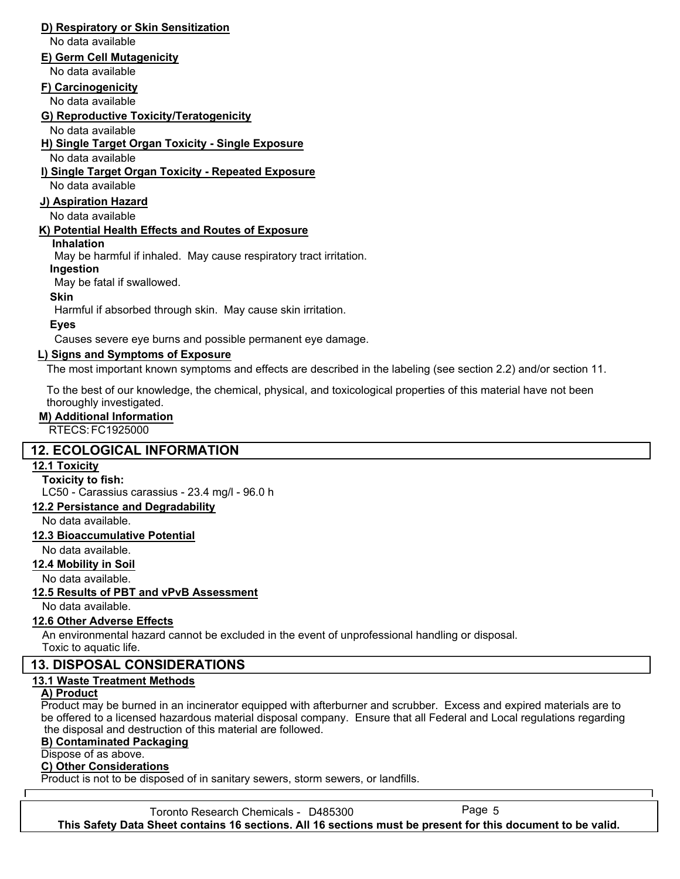### **D) Respiratory or Skin Sensitization**

No data available

#### **E) Germ Cell Mutagenicity**

No data available

#### **F) Carcinogenicity**

No data available

**G) Reproductive Toxicity/Teratogenicity**

No data available

**H) Single Target Organ Toxicity - Single Exposure**

No data available

### **I) Single Target Organ Toxicity - Repeated Exposure**

No data available

#### **J) Aspiration Hazard**

No data available

#### **K) Potential Health Effects and Routes of Exposure**

**Inhalation**

May be harmful if inhaled. May cause respiratory tract irritation.

#### **Ingestion**

May be fatal if swallowed.

### **Skin**

Harmful if absorbed through skin. May cause skin irritation.

**Eyes**

Causes severe eye burns and possible permanent eye damage.

### **L) Signs and Symptoms of Exposure**

The most important known symptoms and effects are described in the labeling (see section 2.2) and/or section 11.

To the best of our knowledge, the chemical, physical, and toxicological properties of this material have not been thoroughly investigated.

#### **M) Additional Information**

RTECS: FC1925000

### **12. ECOLOGICAL INFORMATION**

#### **12.1 Toxicity**

**Toxicity to fish:**

LC50 - Carassius carassius - 23.4 mg/l - 96.0 h

## **12.2 Persistance and Degradability**

No data available.

#### **12.3 Bioaccumulative Potential**

No data available.

#### **12.4 Mobility in Soil**

No data available.

### **12.5 Results of PBT and vPvB Assessment**

No data available.

### **12.6 Other Adverse Effects**

An environmental hazard cannot be excluded in the event of unprofessional handling or disposal. Toxic to aquatic life.

### **13. DISPOSAL CONSIDERATIONS**

### **13.1 Waste Treatment Methods**

#### **A) Product**

Product may be burned in an incinerator equipped with afterburner and scrubber. Excess and expired materials are to be offered to a licensed hazardous material disposal company. Ensure that all Federal and Local regulations regarding the disposal and destruction of this material are followed.

#### **B) Contaminated Packaging**

#### Dispose of as above.

#### **C) Other Considerations**

Product is not to be disposed of in sanitary sewers, storm sewers, or landfills.

Toronto Research Chemicals - D485300 Page 5 **This Safety Data Sheet contains 16 sections. All 16 sections must be present for this document to be valid.**